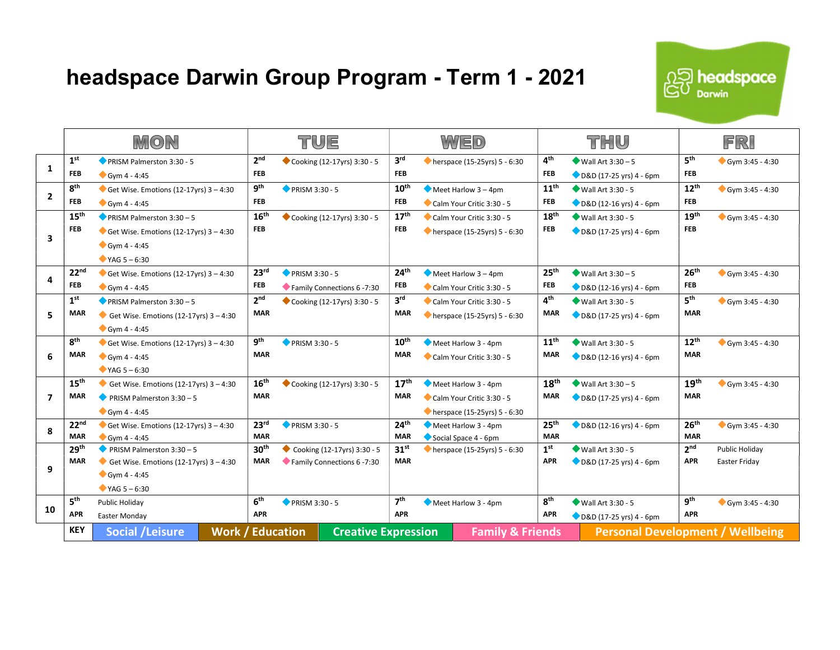## headspace Darwin Group Program - Term 1 - 2021 And Algebrace



|                |                                | MON                                                                   | TUE                                                   |                       |                                                                   | WED                            |                             |                                                            |                                | THU                                            |                               | FRI                             |  |
|----------------|--------------------------------|-----------------------------------------------------------------------|-------------------------------------------------------|-----------------------|-------------------------------------------------------------------|--------------------------------|-----------------------------|------------------------------------------------------------|--------------------------------|------------------------------------------------|-------------------------------|---------------------------------|--|
| 1              | 1 <sup>st</sup>                | PRISM Palmerston 3:30 - 5                                             | 2 <sup>nd</sup>                                       |                       | Cooking (12-17yrs) 3:30 - 5                                       | 3 <sup>rd</sup>                |                             | $\bullet$ herspace (15-25yrs) 5 - 6:30                     | 4 <sup>th</sup>                | $W$ all Art 3:30 - 5                           | 5 <sup>th</sup>               | $Gym 3:45 - 4:30$               |  |
|                | <b>FEB</b><br>8 <sup>th</sup>  | $Gym 4 - 4:45$                                                        | <b>FEB</b><br>9 <sup>th</sup>                         |                       |                                                                   | <b>FEB</b><br>$10^{\text{th}}$ |                             |                                                            | <b>FEB</b><br>$11^{\text{th}}$ | D&D (17-25 yrs) 4 - 6pm                        | <b>FEB</b><br>$12^{th}$       |                                 |  |
| $\overline{2}$ | <b>FEB</b>                     | Get Wise. Emotions (12-17yrs) $3 - 4:30$<br>$Gym 4 - 4:45$            | <b>FEB</b>                                            | <b>PRISM 3:30 - 5</b> |                                                                   | <b>FEB</b>                     |                             | $\bullet$ Meet Harlow 3 – 4pm<br>Calm Your Critic 3:30 - 5 | FEB                            | ◆ Wall Art 3:30 - 5<br>D&D (12-16 yrs) 4 - 6pm | <b>FEB</b>                    | Gym 3:45 - 4:30                 |  |
|                | 15 <sup>th</sup>               | <b>PRISM Palmerston 3:30 - 5</b>                                      | 16 <sup>th</sup>                                      |                       | Cooking (12-17yrs) 3:30 - 5                                       | 17 <sup>th</sup>               |                             | Calm Your Critic 3:30 - 5                                  | 18 <sup>th</sup>               | ◆ Wall Art 3:30 - 5                            | 19 <sup>th</sup>              | $Gym 3:45 - 4:30$               |  |
| 3              | <b>FEB</b>                     | Get Wise. Emotions (12-17yrs) $3 - 4:30$                              | <b>FEB</b>                                            |                       |                                                                   | <b>FEB</b>                     |                             | herspace (15-25yrs) 5 - 6:30                               | <b>FEB</b>                     | D&D (17-25 yrs) 4 - 6pm                        | <b>FEB</b>                    |                                 |  |
|                |                                | $Gym 4 - 4:45$                                                        |                                                       |                       |                                                                   |                                |                             |                                                            |                                |                                                |                               |                                 |  |
|                |                                | $YAG 5 - 6:30$                                                        |                                                       |                       |                                                                   |                                |                             |                                                            |                                |                                                |                               |                                 |  |
| 4              | 22 <sup>nd</sup>               | Get Wise. Emotions (12-17yrs) $3 - 4:30$                              | 23 <sup>rd</sup>                                      | <b>PRISM 3:30 - 5</b> |                                                                   | 24 <sup>th</sup>               |                             | $\blacktriangleright$ Meet Harlow 3 – 4pm                  | 25 <sup>th</sup>               | $Wall Art 3:30-5$                              | 26 <sup>th</sup>              | $Gym 3:45 - 4:30$               |  |
|                | <b>FEB</b>                     | $Gym 4 - 4:45$                                                        | <b>FEB</b>                                            |                       | Family Connections 6 -7:30                                        | <b>FEB</b>                     |                             | Calm Your Critic 3:30 - 5                                  | <b>FEB</b>                     | D&D (12-16 yrs) 4 - 6pm                        | <b>FEB</b>                    |                                 |  |
| 5.             | 1 <sup>st</sup>                | <b>PRISM Palmerston 3:30 - 5</b>                                      | 2 <sup>nd</sup>                                       |                       | Cooking (12-17yrs) 3:30 - 5                                       | 3 <sup>rd</sup>                |                             | Calm Your Critic 3:30 - 5                                  | 4 <sup>th</sup>                | $Wall Art 3:30 - 5$                            | 5 <sup>th</sup>               | $Gym 3:45 - 4:30$               |  |
|                | <b>MAR</b>                     | Get Wise. Emotions (12-17yrs) $3 - 4:30$                              | <b>MAR</b>                                            |                       |                                                                   | <b>MAR</b>                     |                             | $\bullet$ herspace (15-25yrs) 5 - 6:30                     | <b>MAR</b>                     | D&D (17-25 yrs) 4 - 6pm                        | <b>MAR</b>                    |                                 |  |
|                |                                | $Gym 4 - 4:45$                                                        |                                                       |                       |                                                                   |                                |                             |                                                            |                                |                                                |                               |                                 |  |
|                | 8 <sup>th</sup>                | Get Wise. Emotions (12-17yrs) $3 - 4:30$                              | 9 <sup>th</sup>                                       | PRISM 3:30 - 5        |                                                                   | $10^{\text{th}}$               |                             | Meet Harlow 3 - 4pm                                        | $11^{\text{th}}$               | Wall Art 3:30 - 5                              | $12^{th}$                     | Gym 3:45 - 4:30                 |  |
| 6              | <b>MAR</b>                     | $Gym 4 - 4:45$                                                        | <b>MAR</b>                                            |                       |                                                                   | <b>MAR</b>                     |                             | Calm Your Critic 3:30 - 5                                  | <b>MAR</b>                     | D&D (12-16 yrs) 4 - 6pm                        | <b>MAR</b>                    |                                 |  |
|                |                                | $YAG 5 - 6:30$                                                        |                                                       |                       |                                                                   |                                |                             |                                                            |                                |                                                |                               |                                 |  |
|                | 15 <sup>th</sup>               | Get Wise. Emotions (12-17yrs) $3 - 4:30$                              | 16 <sup>th</sup>                                      |                       | Cooking (12-17yrs) 3:30 - 5                                       | 17 <sup>th</sup>               |                             | Meet Harlow 3 - 4pm                                        | 18 <sup>th</sup>               | $Wall Art 3:30-5$                              | 19 <sup>th</sup>              | $Gym 3:45 - 4:30$               |  |
| $\overline{ }$ | <b>MAR</b>                     | PRISM Palmerston 3:30 - 5                                             | <b>MAR</b>                                            |                       |                                                                   | MAR                            |                             | Calm Your Critic 3:30 - 5                                  | <b>MAR</b>                     | D&D (17-25 yrs) 4 - 6pm                        | <b>MAR</b>                    |                                 |  |
|                |                                | $Gym 4 - 4:45$                                                        |                                                       |                       |                                                                   |                                |                             | $\bullet$ herspace (15-25yrs) 5 - 6:30                     |                                |                                                |                               |                                 |  |
| 8              | 22 <sup>nd</sup>               | Get Wise. Emotions (12-17yrs) $3 - 4:30$                              | 23 <sup>rd</sup>                                      | <b>PRISM 3:30 - 5</b> |                                                                   | 24 <sup>th</sup>               |                             | Meet Harlow 3 - 4pm                                        | 25 <sup>th</sup><br><b>MAR</b> | D&D (12-16 yrs) 4 - 6pm                        | 26 <sup>th</sup>              | $Gym 3:45 - 4:30$               |  |
|                | <b>MAR</b>                     | $Gym 4 - 4:45$                                                        | <b>MAR</b>                                            |                       | <b>MAR</b>                                                        |                                | Social Space 4 - 6pm        |                                                            |                                | <b>MAR</b>                                     |                               |                                 |  |
| 9              | 29 <sup>th</sup><br><b>MAR</b> | PRISM Palmerston 3:30 - 5<br>Get Wise. Emotions (12-17yrs) $3 - 4:30$ | 30 <sup>th</sup><br><b>MAR</b>                        |                       | Cooking $(12-17\gamma rs)$ 3:30 - 5<br>Family Connections 6 -7:30 | 31 <sup>st</sup><br><b>MAR</b> |                             | $\bullet$ herspace (15-25yrs) 5 - 6:30                     | 1 <sup>st</sup><br><b>APR</b>  | ◆ Wall Art 3:30 - 5<br>D&D (17-25 yrs) 4 - 6pm | 2 <sup>nd</sup><br><b>APR</b> | Public Holiday<br>Easter Friday |  |
|                |                                | $Gym 4 - 4:45$                                                        |                                                       |                       |                                                                   |                                |                             |                                                            |                                |                                                |                               |                                 |  |
|                |                                | $YAG 5 - 6:30$                                                        |                                                       |                       |                                                                   |                                |                             |                                                            |                                |                                                |                               |                                 |  |
|                | 5 <sup>th</sup>                | Public Holiday                                                        | 6 <sup>th</sup>                                       | <b>PRISM 3:30 - 5</b> |                                                                   | 7 <sup>th</sup>                |                             | Meet Harlow 3 - 4pm                                        | 8 <sup>th</sup>                | <b>Wall Art 3:30 - 5</b>                       | <b>gth</b>                    | Gym 3:45 - 4:30                 |  |
| 10             | <b>APR</b>                     | Easter Monday                                                         | <b>APR</b>                                            |                       |                                                                   | <b>APR</b>                     |                             |                                                            | <b>APR</b>                     | D&D (17-25 yrs) 4 - 6pm                        | <b>APR</b>                    |                                 |  |
|                | <b>KEY</b>                     | <b>Social /Leisure</b>                                                | <b>Work / Education</b><br><b>Creative Expression</b> |                       |                                                                   |                                | <b>Family &amp; Friends</b> |                                                            |                                | <b>Personal Development / Wellbeing</b>        |                               |                                 |  |